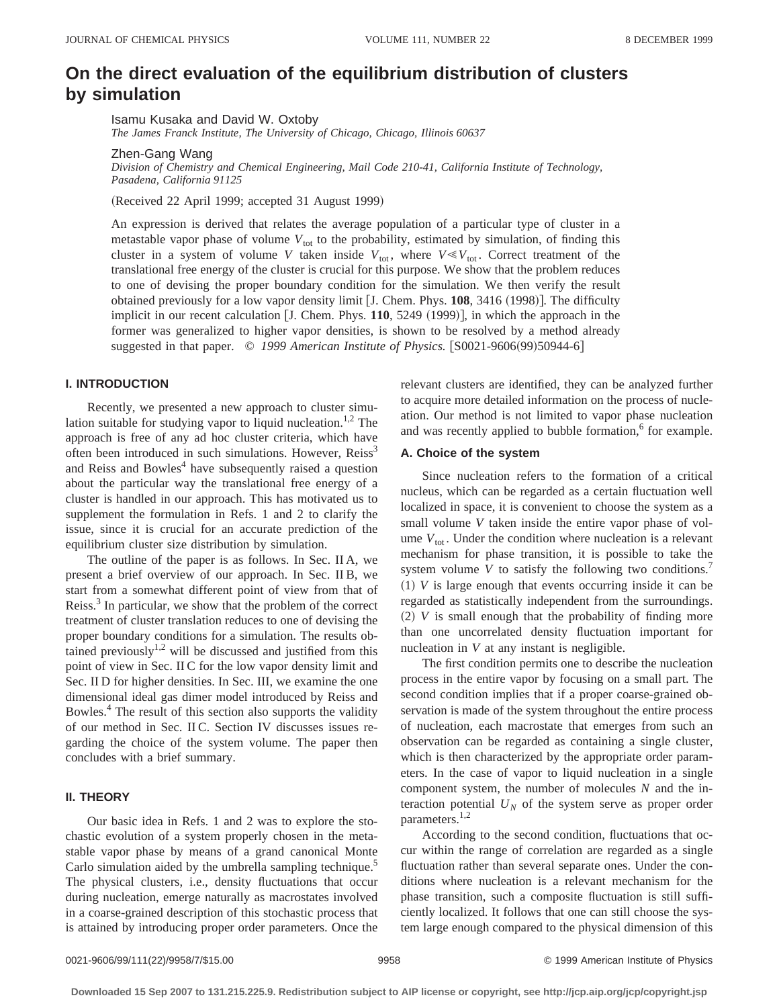# **On the direct evaluation of the equilibrium distribution of clusters by simulation**

Isamu Kusaka and David W. Oxtoby

*The James Franck Institute, The University of Chicago, Chicago, Illinois 60637*

Zhen-Gang Wang

*Division of Chemistry and Chemical Engineering, Mail Code 210-41, California Institute of Technology, Pasadena, California 91125*

(Received 22 April 1999; accepted 31 August 1999)

An expression is derived that relates the average population of a particular type of cluster in a metastable vapor phase of volume  $V_{\text{tot}}$  to the probability, estimated by simulation, of finding this cluster in a system of volume *V* taken inside  $V_{\text{tot}}$ , where  $V \ll V_{\text{tot}}$ . Correct treatment of the translational free energy of the cluster is crucial for this purpose. We show that the problem reduces to one of devising the proper boundary condition for the simulation. We then verify the result obtained previously for a low vapor density limit [J. Chem. Phys. 108, 3416 (1998)]. The difficulty implicit in our recent calculation  $[J.$  Chem. Phys.  $110$ ,  $5249$   $(1999)$ ], in which the approach in the former was generalized to higher vapor densities, is shown to be resolved by a method already suggested in that paper. © 1999 American Institute of Physics. [S0021-9606(99)50944-6]

## **I. INTRODUCTION**

Recently, we presented a new approach to cluster simulation suitable for studying vapor to liquid nucleation.<sup>1,2</sup> The approach is free of any ad hoc cluster criteria, which have often been introduced in such simulations. However, Reiss<sup>3</sup> and Reiss and Bowles<sup>4</sup> have subsequently raised a question about the particular way the translational free energy of a cluster is handled in our approach. This has motivated us to supplement the formulation in Refs. 1 and 2 to clarify the issue, since it is crucial for an accurate prediction of the equilibrium cluster size distribution by simulation.

The outline of the paper is as follows. In Sec. II A, we present a brief overview of our approach. In Sec. II B, we start from a somewhat different point of view from that of Reiss.<sup>3</sup> In particular, we show that the problem of the correct treatment of cluster translation reduces to one of devising the proper boundary conditions for a simulation. The results obtained previously $1,2$  will be discussed and justified from this point of view in Sec. II C for the low vapor density limit and Sec. II D for higher densities. In Sec. III, we examine the one dimensional ideal gas dimer model introduced by Reiss and Bowles.4 The result of this section also supports the validity of our method in Sec. II C. Section IV discusses issues regarding the choice of the system volume. The paper then concludes with a brief summary.

# **II. THEORY**

Our basic idea in Refs. 1 and 2 was to explore the stochastic evolution of a system properly chosen in the metastable vapor phase by means of a grand canonical Monte Carlo simulation aided by the umbrella sampling technique.<sup>5</sup> The physical clusters, i.e., density fluctuations that occur during nucleation, emerge naturally as macrostates involved in a coarse-grained description of this stochastic process that is attained by introducing proper order parameters. Once the relevant clusters are identified, they can be analyzed further to acquire more detailed information on the process of nucleation. Our method is not limited to vapor phase nucleation and was recently applied to bubble formation,<sup>6</sup> for example.

## **A. Choice of the system**

Since nucleation refers to the formation of a critical nucleus, which can be regarded as a certain fluctuation well localized in space, it is convenient to choose the system as a small volume *V* taken inside the entire vapor phase of volume  $V_{\text{tot}}$ . Under the condition where nucleation is a relevant mechanism for phase transition, it is possible to take the system volume  $V$  to satisfy the following two conditions.<sup>7</sup>  $(1)$  *V* is large enough that events occurring inside it can be regarded as statistically independent from the surroundings.  $(2)$  *V* is small enough that the probability of finding more than one uncorrelated density fluctuation important for nucleation in *V* at any instant is negligible.

The first condition permits one to describe the nucleation process in the entire vapor by focusing on a small part. The second condition implies that if a proper coarse-grained observation is made of the system throughout the entire process of nucleation, each macrostate that emerges from such an observation can be regarded as containing a single cluster, which is then characterized by the appropriate order parameters. In the case of vapor to liquid nucleation in a single component system, the number of molecules *N* and the interaction potential  $U_N$  of the system serve as proper order parameters.<sup>1,2</sup>

According to the second condition, fluctuations that occur within the range of correlation are regarded as a single fluctuation rather than several separate ones. Under the conditions where nucleation is a relevant mechanism for the phase transition, such a composite fluctuation is still sufficiently localized. It follows that one can still choose the system large enough compared to the physical dimension of this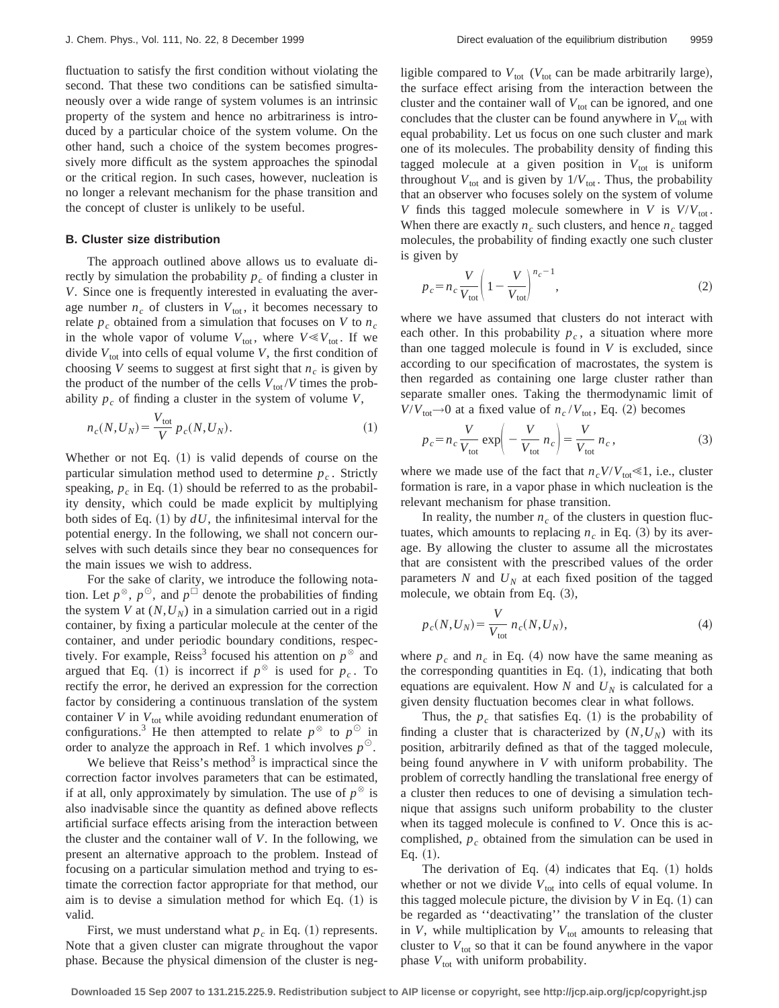fluctuation to satisfy the first condition without violating the second. That these two conditions can be satisfied simultaneously over a wide range of system volumes is an intrinsic property of the system and hence no arbitrariness is introduced by a particular choice of the system volume. On the other hand, such a choice of the system becomes progressively more difficult as the system approaches the spinodal or the critical region. In such cases, however, nucleation is no longer a relevant mechanism for the phase transition and the concept of cluster is unlikely to be useful.

## **B. Cluster size distribution**

The approach outlined above allows us to evaluate directly by simulation the probability  $p_c$  of finding a cluster in *V*. Since one is frequently interested in evaluating the average number  $n_c$  of clusters in  $V_{\text{tot}}$ , it becomes necessary to relate  $p_c$  obtained from a simulation that focuses on *V* to  $n_c$ in the whole vapor of volume  $V_{\text{tot}}$ , where  $V \ll V_{\text{tot}}$ . If we divide  $V_{\text{tot}}$  into cells of equal volume *V*, the first condition of choosing *V* seems to suggest at first sight that  $n_c$  is given by the product of the number of the cells  $V_{\text{tot}}/V$  times the probability  $p_c$  of finding a cluster in the system of volume  $V$ ,

$$
n_c(N, U_N) = \frac{V_{\text{tot}}}{V} p_c(N, U_N).
$$
 (1)

Whether or not Eq.  $(1)$  is valid depends of course on the particular simulation method used to determine  $p_c$ . Strictly speaking,  $p_c$  in Eq. (1) should be referred to as the probability density, which could be made explicit by multiplying both sides of Eq.  $(1)$  by  $dU$ , the infinitesimal interval for the potential energy. In the following, we shall not concern ourselves with such details since they bear no consequences for the main issues we wish to address.

For the sake of clarity, we introduce the following notation. Let  $p^{\otimes}$ ,  $p^{\odot}$ , and  $p^{\Box}$  denote the probabilities of finding the system *V* at  $(N, U_N)$  in a simulation carried out in a rigid container, by fixing a particular molecule at the center of the container, and under periodic boundary conditions, respectively. For example, Reiss<sup>3</sup> focused his attention on  $p^{\otimes}$  and argued that Eq. (1) is incorrect if  $p^{\otimes}$  is used for  $p_c$ . To rectify the error, he derived an expression for the correction factor by considering a continuous translation of the system container  $V$  in  $V_{\text{tot}}$  while avoiding redundant enumeration of configurations.<sup>3</sup> He then attempted to relate  $p^{\otimes}$  to  $p^{\odot}$  in order to analyze the approach in Ref. 1 which involves  $p^{\circlearrowright}$ .

We believe that Reiss's method<sup>3</sup> is impractical since the correction factor involves parameters that can be estimated, if at all, only approximately by simulation. The use of  $p^{\otimes}$  is also inadvisable since the quantity as defined above reflects artificial surface effects arising from the interaction between the cluster and the container wall of *V*. In the following, we present an alternative approach to the problem. Instead of focusing on a particular simulation method and trying to estimate the correction factor appropriate for that method, our aim is to devise a simulation method for which Eq.  $(1)$  is valid.

First, we must understand what  $p_c$  in Eq.  $(1)$  represents. Note that a given cluster can migrate throughout the vapor phase. Because the physical dimension of the cluster is negligible compared to  $V_{\text{tot}}$  ( $V_{\text{tot}}$  can be made arbitrarily large), the surface effect arising from the interaction between the cluster and the container wall of  $V_{\text{tot}}$  can be ignored, and one concludes that the cluster can be found anywhere in  $V_{\text{tot}}$  with equal probability. Let us focus on one such cluster and mark one of its molecules. The probability density of finding this tagged molecule at a given position in  $V_{\text{tot}}$  is uniform throughout  $V_{\text{tot}}$  and is given by  $1/V_{\text{tot}}$ . Thus, the probability that an observer who focuses solely on the system of volume *V* finds this tagged molecule somewhere in *V* is  $V/V_{\text{tot}}$ . When there are exactly  $n_c$  such clusters, and hence  $n_c$  tagged molecules, the probability of finding exactly one such cluster is given by

$$
p_c = n_c \frac{V}{V_{\text{tot}}} \left( 1 - \frac{V}{V_{\text{tot}}} \right)^{n_c - 1},\tag{2}
$$

where we have assumed that clusters do not interact with each other. In this probability  $p_c$ , a situation where more than one tagged molecule is found in *V* is excluded, since according to our specification of macrostates, the system is then regarded as containing one large cluster rather than separate smaller ones. Taking the thermodynamic limit of  $V/V_{\text{tot}} \rightarrow 0$  at a fixed value of  $n_c/V_{\text{tot}}$ , Eq. (2) becomes

$$
p_c = n_c \frac{V}{V_{\text{tot}}} \exp\left(-\frac{V}{V_{\text{tot}}} n_c\right) = \frac{V}{V_{\text{tot}}} n_c,
$$
 (3)

where we made use of the fact that  $n_c V/V_{\text{tot}} \ll 1$ , i.e., cluster formation is rare, in a vapor phase in which nucleation is the relevant mechanism for phase transition.

In reality, the number  $n_c$  of the clusters in question fluctuates, which amounts to replacing  $n_c$  in Eq. (3) by its average. By allowing the cluster to assume all the microstates that are consistent with the prescribed values of the order parameters  $N$  and  $U_N$  at each fixed position of the tagged molecule, we obtain from Eq.  $(3)$ ,

$$
p_c(N, U_N) = \frac{V}{V_{\text{tot}}} n_c(N, U_N), \tag{4}
$$

where  $p_c$  and  $n_c$  in Eq. (4) now have the same meaning as the corresponding quantities in Eq.  $(1)$ , indicating that both equations are equivalent. How  $N$  and  $U_N$  is calculated for a given density fluctuation becomes clear in what follows.

Thus, the  $p_c$  that satisfies Eq. (1) is the probability of finding a cluster that is characterized by  $(N, U_N)$  with its position, arbitrarily defined as that of the tagged molecule, being found anywhere in *V* with uniform probability. The problem of correctly handling the translational free energy of a cluster then reduces to one of devising a simulation technique that assigns such uniform probability to the cluster when its tagged molecule is confined to *V*. Once this is accomplished,  $p_c$  obtained from the simulation can be used in Eq.  $(1)$ .

The derivation of Eq.  $(4)$  indicates that Eq.  $(1)$  holds whether or not we divide  $V_{\text{tot}}$  into cells of equal volume. In this tagged molecule picture, the division by  $V$  in Eq.  $(1)$  can be regarded as ''deactivating'' the translation of the cluster in  $V$ , while multiplication by  $V<sub>tot</sub>$  amounts to releasing that cluster to  $V_{\text{tot}}$  so that it can be found anywhere in the vapor phase  $V_{\text{tot}}$  with uniform probability.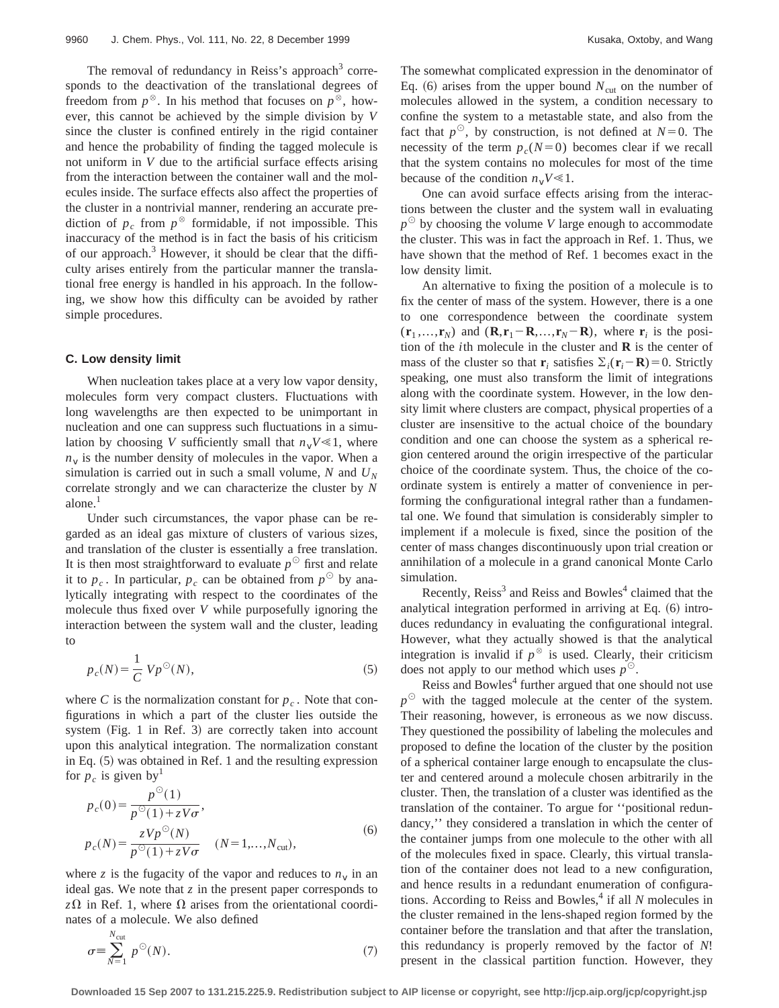The removal of redundancy in Reiss's approach<sup>3</sup> corresponds to the deactivation of the translational degrees of freedom from  $p^{\otimes}$ . In his method that focuses on  $p^{\otimes}$ , however, this cannot be achieved by the simple division by *V* since the cluster is confined entirely in the rigid container and hence the probability of finding the tagged molecule is not uniform in *V* due to the artificial surface effects arising from the interaction between the container wall and the molecules inside. The surface effects also affect the properties of the cluster in a nontrivial manner, rendering an accurate prediction of  $p_c$  from  $p^{\otimes}$  formidable, if not impossible. This inaccuracy of the method is in fact the basis of his criticism of our approach.<sup>3</sup> However, it should be clear that the difficulty arises entirely from the particular manner the translational free energy is handled in his approach. In the following, we show how this difficulty can be avoided by rather simple procedures.

#### **C. Low density limit**

When nucleation takes place at a very low vapor density, molecules form very compact clusters. Fluctuations with long wavelengths are then expected to be unimportant in nucleation and one can suppress such fluctuations in a simulation by choosing *V* sufficiently small that  $n_vV \le 1$ , where  $n<sub>v</sub>$  is the number density of molecules in the vapor. When a simulation is carried out in such a small volume,  $N$  and  $U_N$ correlate strongly and we can characterize the cluster by *N* alone.<sup>1</sup>

Under such circumstances, the vapor phase can be regarded as an ideal gas mixture of clusters of various sizes, and translation of the cluster is essentially a free translation. It is then most straightforward to evaluate  $p^{\circ}$  first and relate it to  $p_c$ . In particular,  $p_c$  can be obtained from  $p^{\circ}$  by analytically integrating with respect to the coordinates of the molecule thus fixed over *V* while purposefully ignoring the interaction between the system wall and the cluster, leading to

$$
p_c(N) = \frac{1}{C} V p^{\circlearrowleft}(N),\tag{5}
$$

where *C* is the normalization constant for  $p_c$ . Note that configurations in which a part of the cluster lies outside the system  $(Fig. 1$  in Ref. 3) are correctly taken into account upon this analytical integration. The normalization constant in Eq.  $(5)$  was obtained in Ref. 1 and the resulting expression for  $p_c$  is given by<sup>1</sup>

$$
p_c(0) = \frac{p^{\odot}(1)}{p^{\odot}(1) + zV\sigma},
$$
  
\n
$$
p_c(N) = \frac{zVp^{\odot}(N)}{p^{\odot}(1) + zV\sigma} \quad (N = 1,...,N_{\text{cut}}),
$$
 (6)

where *z* is the fugacity of the vapor and reduces to  $n<sub>v</sub>$  in an ideal gas. We note that *z* in the present paper corresponds to  $z\Omega$  in Ref. 1, where  $\Omega$  arises from the orientational coordinates of a molecule. We also defined

$$
\sigma \equiv \sum_{N=1}^{N_{\text{cut}}} p^{\odot}(N). \tag{7}
$$

The somewhat complicated expression in the denominator of Eq.  $(6)$  arises from the upper bound  $N<sub>cut</sub>$  on the number of molecules allowed in the system, a condition necessary to confine the system to a metastable state, and also from the fact that  $p^{\circ}$ , by construction, is not defined at  $N=0$ . The necessity of the term  $p_c(N=0)$  becomes clear if we recall that the system contains no molecules for most of the time because of the condition  $n_vV \ll 1$ .

One can avoid surface effects arising from the interactions between the cluster and the system wall in evaluating  $p^{\odot}$  by choosing the volume *V* large enough to accommodate the cluster. This was in fact the approach in Ref. 1. Thus, we have shown that the method of Ref. 1 becomes exact in the low density limit.

An alternative to fixing the position of a molecule is to fix the center of mass of the system. However, there is a one to one correspondence between the coordinate system  $(\mathbf{r}_1, \dots, \mathbf{r}_N)$  and  $(\mathbf{R}, \mathbf{r}_1 - \mathbf{R}, \dots, \mathbf{r}_N - \mathbf{R})$ , where  $\mathbf{r}_i$  is the position of the *i*th molecule in the cluster and **R** is the center of mass of the cluster so that **r**<sub>*i*</sub> satisfies  $\Sigma_i(\mathbf{r}_i - \mathbf{R}) = 0$ . Strictly speaking, one must also transform the limit of integrations along with the coordinate system. However, in the low density limit where clusters are compact, physical properties of a cluster are insensitive to the actual choice of the boundary condition and one can choose the system as a spherical region centered around the origin irrespective of the particular choice of the coordinate system. Thus, the choice of the coordinate system is entirely a matter of convenience in performing the configurational integral rather than a fundamental one. We found that simulation is considerably simpler to implement if a molecule is fixed, since the position of the center of mass changes discontinuously upon trial creation or annihilation of a molecule in a grand canonical Monte Carlo simulation.

Recently,  $Reiss<sup>3</sup>$  and Reiss and Bowles<sup>4</sup> claimed that the analytical integration performed in arriving at Eq.  $(6)$  introduces redundancy in evaluating the configurational integral. However, what they actually showed is that the analytical integration is invalid if  $p^{\otimes}$  is used. Clearly, their criticism does not apply to our method which uses  $p^{\odot}$ .

Reiss and Bowles<sup>4</sup> further argued that one should not use  $p^{\odot}$  with the tagged molecule at the center of the system. Their reasoning, however, is erroneous as we now discuss. They questioned the possibility of labeling the molecules and proposed to define the location of the cluster by the position of a spherical container large enough to encapsulate the cluster and centered around a molecule chosen arbitrarily in the cluster. Then, the translation of a cluster was identified as the translation of the container. To argue for ''positional redundancy,'' they considered a translation in which the center of the container jumps from one molecule to the other with all of the molecules fixed in space. Clearly, this virtual translation of the container does not lead to a new configuration, and hence results in a redundant enumeration of configurations. According to Reiss and Bowles,<sup>4</sup> if all *N* molecules in the cluster remained in the lens-shaped region formed by the container before the translation and that after the translation, this redundancy is properly removed by the factor of *N*! present in the classical partition function. However, they

**Downloaded 15 Sep 2007 to 131.215.225.9. Redistribution subject to AIP license or copyright, see http://jcp.aip.org/jcp/copyright.jsp**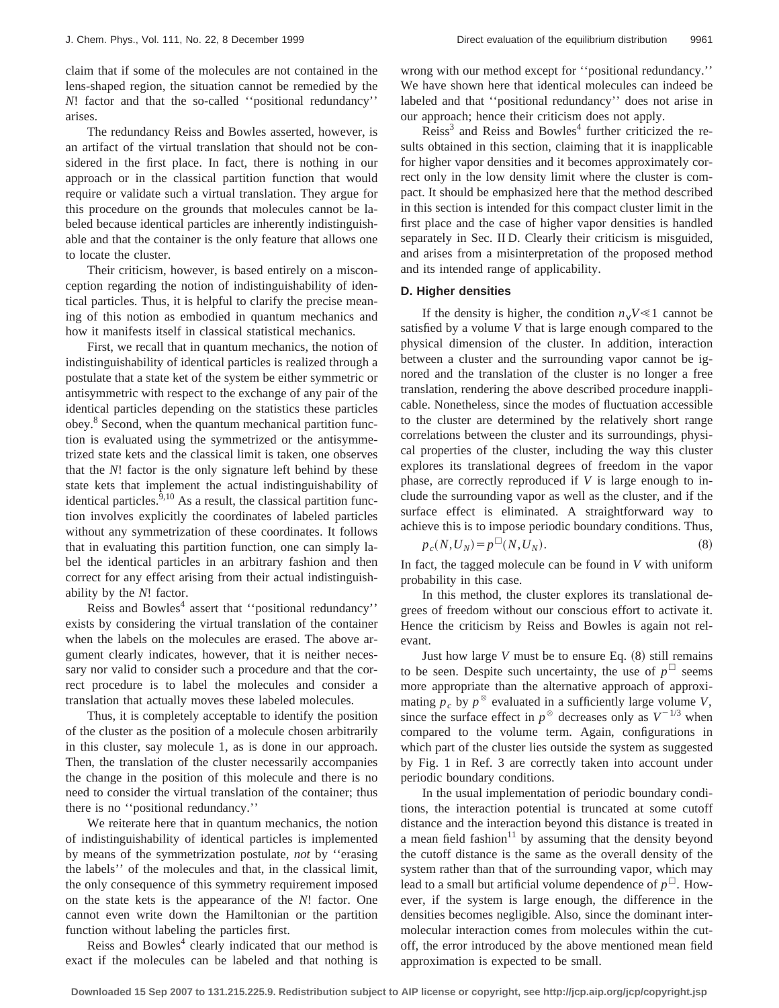claim that if some of the molecules are not contained in the lens-shaped region, the situation cannot be remedied by the *N*! factor and that the so-called ''positional redundancy'' arises.

The redundancy Reiss and Bowles asserted, however, is an artifact of the virtual translation that should not be considered in the first place. In fact, there is nothing in our approach or in the classical partition function that would require or validate such a virtual translation. They argue for this procedure on the grounds that molecules cannot be labeled because identical particles are inherently indistinguishable and that the container is the only feature that allows one to locate the cluster.

Their criticism, however, is based entirely on a misconception regarding the notion of indistinguishability of identical particles. Thus, it is helpful to clarify the precise meaning of this notion as embodied in quantum mechanics and how it manifests itself in classical statistical mechanics.

First, we recall that in quantum mechanics, the notion of indistinguishability of identical particles is realized through a postulate that a state ket of the system be either symmetric or antisymmetric with respect to the exchange of any pair of the identical particles depending on the statistics these particles obey.<sup>8</sup> Second, when the quantum mechanical partition function is evaluated using the symmetrized or the antisymmetrized state kets and the classical limit is taken, one observes that the *N*! factor is the only signature left behind by these state kets that implement the actual indistinguishability of identical particles.<sup>9,10</sup> As a result, the classical partition function involves explicitly the coordinates of labeled particles without any symmetrization of these coordinates. It follows that in evaluating this partition function, one can simply label the identical particles in an arbitrary fashion and then correct for any effect arising from their actual indistinguishability by the *N*! factor.

Reiss and Bowles<sup>4</sup> assert that "positional redundancy" exists by considering the virtual translation of the container when the labels on the molecules are erased. The above argument clearly indicates, however, that it is neither necessary nor valid to consider such a procedure and that the correct procedure is to label the molecules and consider a translation that actually moves these labeled molecules.

Thus, it is completely acceptable to identify the position of the cluster as the position of a molecule chosen arbitrarily in this cluster, say molecule 1, as is done in our approach. Then, the translation of the cluster necessarily accompanies the change in the position of this molecule and there is no need to consider the virtual translation of the container; thus there is no ''positional redundancy.''

We reiterate here that in quantum mechanics, the notion of indistinguishability of identical particles is implemented by means of the symmetrization postulate, *not* by ''erasing the labels'' of the molecules and that, in the classical limit, the only consequence of this symmetry requirement imposed on the state kets is the appearance of the *N*! factor. One cannot even write down the Hamiltonian or the partition function without labeling the particles first.

Reiss and Bowles<sup>4</sup> clearly indicated that our method is exact if the molecules can be labeled and that nothing is wrong with our method except for ''positional redundancy.'' We have shown here that identical molecules can indeed be labeled and that ''positional redundancy'' does not arise in our approach; hence their criticism does not apply.

 $Reiss<sup>3</sup>$  and Reiss and Bowles<sup>4</sup> further criticized the results obtained in this section, claiming that it is inapplicable for higher vapor densities and it becomes approximately correct only in the low density limit where the cluster is compact. It should be emphasized here that the method described in this section is intended for this compact cluster limit in the first place and the case of higher vapor densities is handled separately in Sec. II D. Clearly their criticism is misguided, and arises from a misinterpretation of the proposed method and its intended range of applicability.

#### **D. Higher densities**

If the density is higher, the condition  $n_vV \ll 1$  cannot be satisfied by a volume *V* that is large enough compared to the physical dimension of the cluster. In addition, interaction between a cluster and the surrounding vapor cannot be ignored and the translation of the cluster is no longer a free translation, rendering the above described procedure inapplicable. Nonetheless, since the modes of fluctuation accessible to the cluster are determined by the relatively short range correlations between the cluster and its surroundings, physical properties of the cluster, including the way this cluster explores its translational degrees of freedom in the vapor phase, are correctly reproduced if *V* is large enough to include the surrounding vapor as well as the cluster, and if the surface effect is eliminated. A straightforward way to achieve this is to impose periodic boundary conditions. Thus,

$$
p_c(N, U_N) = p^{\Box}(N, U_N). \tag{8}
$$

In fact, the tagged molecule can be found in *V* with uniform probability in this case.

In this method, the cluster explores its translational degrees of freedom without our conscious effort to activate it. Hence the criticism by Reiss and Bowles is again not relevant.

Just how large  $V$  must be to ensure Eq.  $(8)$  still remains to be seen. Despite such uncertainty, the use of  $p^{\Box}$  seems more appropriate than the alternative approach of approximating  $p_c$  by  $p^{\otimes}$  evaluated in a sufficiently large volume *V*, since the surface effect in  $p^{\otimes}$  decreases only as  $V^{-1/3}$  when compared to the volume term. Again, configurations in which part of the cluster lies outside the system as suggested by Fig. 1 in Ref. 3 are correctly taken into account under periodic boundary conditions.

In the usual implementation of periodic boundary conditions, the interaction potential is truncated at some cutoff distance and the interaction beyond this distance is treated in a mean field fashion $11$  by assuming that the density beyond the cutoff distance is the same as the overall density of the system rather than that of the surrounding vapor, which may lead to a small but artificial volume dependence of  $p^{\Box}$ . However, if the system is large enough, the difference in the densities becomes negligible. Also, since the dominant intermolecular interaction comes from molecules within the cutoff, the error introduced by the above mentioned mean field approximation is expected to be small.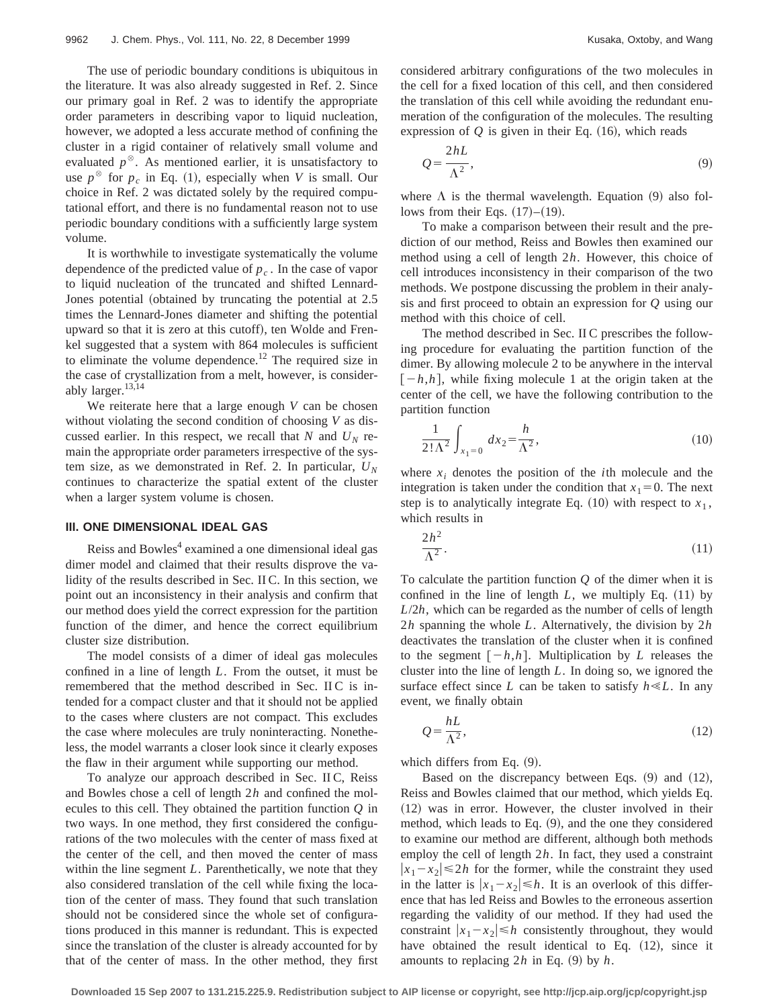The use of periodic boundary conditions is ubiquitous in the literature. It was also already suggested in Ref. 2. Since our primary goal in Ref. 2 was to identify the appropriate order parameters in describing vapor to liquid nucleation, however, we adopted a less accurate method of confining the cluster in a rigid container of relatively small volume and evaluated  $p^{\otimes}$ . As mentioned earlier, it is unsatisfactory to use  $p^{\otimes}$  for  $p_c$  in Eq. (1), especially when *V* is small. Our choice in Ref. 2 was dictated solely by the required computational effort, and there is no fundamental reason not to use periodic boundary conditions with a sufficiently large system volume.

It is worthwhile to investigate systematically the volume dependence of the predicted value of  $p_c$ . In the case of vapor to liquid nucleation of the truncated and shifted Lennard-Jones potential (obtained by truncating the potential at 2.5 times the Lennard-Jones diameter and shifting the potential upward so that it is zero at this cutoff), ten Wolde and Frenkel suggested that a system with 864 molecules is sufficient to eliminate the volume dependence.<sup>12</sup> The required size in the case of crystallization from a melt, however, is considerably larger. $13,14$ 

We reiterate here that a large enough *V* can be chosen without violating the second condition of choosing *V* as discussed earlier. In this respect, we recall that *N* and  $U<sub>N</sub>$  remain the appropriate order parameters irrespective of the system size, as we demonstrated in Ref. 2. In particular,  $U_N$ continues to characterize the spatial extent of the cluster when a larger system volume is chosen.

#### **III. ONE DIMENSIONAL IDEAL GAS**

Reiss and Bowles<sup>4</sup> examined a one dimensional ideal gas dimer model and claimed that their results disprove the validity of the results described in Sec. II C. In this section, we point out an inconsistency in their analysis and confirm that our method does yield the correct expression for the partition function of the dimer, and hence the correct equilibrium cluster size distribution.

The model consists of a dimer of ideal gas molecules confined in a line of length *L*. From the outset, it must be remembered that the method described in Sec. II C is intended for a compact cluster and that it should not be applied to the cases where clusters are not compact. This excludes the case where molecules are truly noninteracting. Nonetheless, the model warrants a closer look since it clearly exposes the flaw in their argument while supporting our method.

To analyze our approach described in Sec. II C, Reiss and Bowles chose a cell of length 2*h* and confined the molecules to this cell. They obtained the partition function *Q* in two ways. In one method, they first considered the configurations of the two molecules with the center of mass fixed at the center of the cell, and then moved the center of mass within the line segment *L*. Parenthetically, we note that they also considered translation of the cell while fixing the location of the center of mass. They found that such translation should not be considered since the whole set of configurations produced in this manner is redundant. This is expected since the translation of the cluster is already accounted for by that of the center of mass. In the other method, they first considered arbitrary configurations of the two molecules in the cell for a fixed location of this cell, and then considered the translation of this cell while avoiding the redundant enumeration of the configuration of the molecules. The resulting expression of  $Q$  is given in their Eq.  $(16)$ , which reads

$$
Q = \frac{2hL}{\Lambda^2},\tag{9}
$$

where  $\Lambda$  is the thermal wavelength. Equation (9) also follows from their Eqs.  $(17)–(19)$ .

To make a comparison between their result and the prediction of our method, Reiss and Bowles then examined our method using a cell of length 2*h*. However, this choice of cell introduces inconsistency in their comparison of the two methods. We postpone discussing the problem in their analysis and first proceed to obtain an expression for *Q* using our method with this choice of cell.

The method described in Sec. II C prescribes the following procedure for evaluating the partition function of the dimer. By allowing molecule 2 to be anywhere in the interval  $[-h,h]$ , while fixing molecule 1 at the origin taken at the center of the cell, we have the following contribution to the partition function

$$
\frac{1}{2!\,\Lambda^2} \int_{x_1=0} dx_2 = \frac{h}{\Lambda^2},\tag{10}
$$

where  $x_i$  denotes the position of the *i*th molecule and the integration is taken under the condition that  $x_1=0$ . The next step is to analytically integrate Eq.  $(10)$  with respect to  $x_1$ , which results in

$$
\frac{2h^2}{\Lambda^2}.\tag{11}
$$

To calculate the partition function *Q* of the dimer when it is confined in the line of length  $L$ , we multiply Eq.  $(11)$  by *L*/2*h*, which can be regarded as the number of cells of length 2*h* spanning the whole *L*. Alternatively, the division by 2*h* deactivates the translation of the cluster when it is confined to the segment  $[-h,h]$ . Multiplication by *L* releases the cluster into the line of length *L*. In doing so, we ignored the surface effect since *L* can be taken to satisfy  $h \ll L$ . In any event, we finally obtain

$$
Q = \frac{hL}{\Lambda^2},\tag{12}
$$

which differs from Eq.  $(9)$ .

Based on the discrepancy between Eqs.  $(9)$  and  $(12)$ , Reiss and Bowles claimed that our method, which yields Eq.  $(12)$  was in error. However, the cluster involved in their method, which leads to Eq.  $(9)$ , and the one they considered to examine our method are different, although both methods employ the cell of length 2*h*. In fact, they used a constraint  $|x_1-x_2| \le 2h$  for the former, while the constraint they used in the latter is  $|x_1-x_2| \leq h$ . It is an overlook of this difference that has led Reiss and Bowles to the erroneous assertion regarding the validity of our method. If they had used the constraint  $|x_1-x_2| \leq h$  consistently throughout, they would have obtained the result identical to Eq.  $(12)$ , since it amounts to replacing  $2h$  in Eq.  $(9)$  by  $h$ .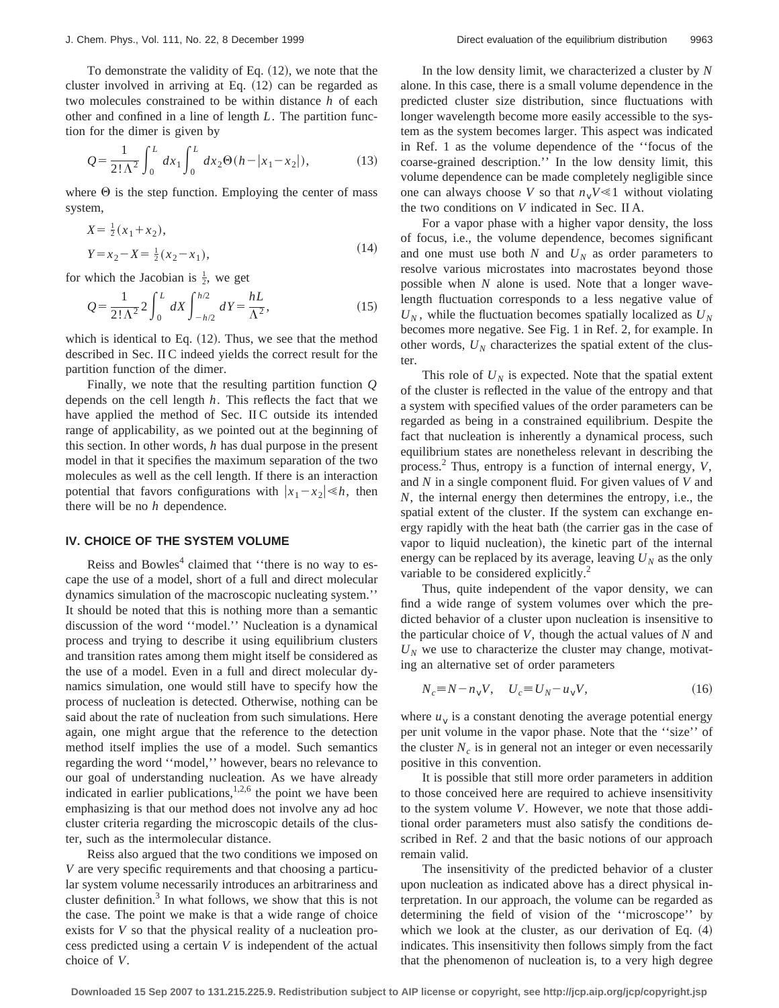To demonstrate the validity of Eq.  $(12)$ , we note that the cluster involved in arriving at Eq.  $(12)$  can be regarded as two molecules constrained to be within distance *h* of each other and confined in a line of length *L*. The partition function for the dimer is given by

$$
Q = \frac{1}{2! \Lambda^2} \int_0^L dx_1 \int_0^L dx_2 \Theta(h - |x_1 - x_2|), \tag{13}
$$

where  $\Theta$  is the step function. Employing the center of mass system,

$$
X = \frac{1}{2}(x_1 + x_2),
$$
  
\n
$$
Y = x_2 - X = \frac{1}{2}(x_2 - x_1),
$$
\n(14)

for which the Jacobian is  $\frac{1}{2}$ , we get

$$
Q = \frac{1}{2! \Lambda^2} 2 \int_0^L dX \int_{-h/2}^{h/2} dY = \frac{hL}{\Lambda^2},
$$
 (15)

which is identical to Eq.  $(12)$ . Thus, we see that the method described in Sec. II C indeed yields the correct result for the partition function of the dimer.

Finally, we note that the resulting partition function *Q* depends on the cell length *h*. This reflects the fact that we have applied the method of Sec. II C outside its intended range of applicability, as we pointed out at the beginning of this section. In other words, *h* has dual purpose in the present model in that it specifies the maximum separation of the two molecules as well as the cell length. If there is an interaction potential that favors configurations with  $|x_1-x_2| \le h$ , then there will be no *h* dependence.

# **IV. CHOICE OF THE SYSTEM VOLUME**

Reiss and Bowles<sup>4</sup> claimed that "there is no way to escape the use of a model, short of a full and direct molecular dynamics simulation of the macroscopic nucleating system.'' It should be noted that this is nothing more than a semantic discussion of the word ''model.'' Nucleation is a dynamical process and trying to describe it using equilibrium clusters and transition rates among them might itself be considered as the use of a model. Even in a full and direct molecular dynamics simulation, one would still have to specify how the process of nucleation is detected. Otherwise, nothing can be said about the rate of nucleation from such simulations. Here again, one might argue that the reference to the detection method itself implies the use of a model. Such semantics regarding the word ''model,'' however, bears no relevance to our goal of understanding nucleation. As we have already indicated in earlier publications,<sup>1,2,6</sup> the point we have been emphasizing is that our method does not involve any ad hoc cluster criteria regarding the microscopic details of the cluster, such as the intermolecular distance.

Reiss also argued that the two conditions we imposed on *V* are very specific requirements and that choosing a particular system volume necessarily introduces an arbitrariness and cluster definition. $3 \text{ In what follows, we show that this is not}$ the case. The point we make is that a wide range of choice exists for *V* so that the physical reality of a nucleation process predicted using a certain *V* is independent of the actual choice of *V*.

In the low density limit, we characterized a cluster by *N* alone. In this case, there is a small volume dependence in the predicted cluster size distribution, since fluctuations with longer wavelength become more easily accessible to the system as the system becomes larger. This aspect was indicated in Ref. 1 as the volume dependence of the ''focus of the coarse-grained description.'' In the low density limit, this volume dependence can be made completely negligible since one can always choose *V* so that  $n_vV \le 1$  without violating the two conditions on *V* indicated in Sec. II A.

For a vapor phase with a higher vapor density, the loss of focus, i.e., the volume dependence, becomes significant and one must use both  $N$  and  $U_N$  as order parameters to resolve various microstates into macrostates beyond those possible when *N* alone is used. Note that a longer wavelength fluctuation corresponds to a less negative value of  $U_N$ , while the fluctuation becomes spatially localized as  $U_N$ becomes more negative. See Fig. 1 in Ref. 2, for example. In other words,  $U_N$  characterizes the spatial extent of the cluster.

This role of  $U_N$  is expected. Note that the spatial extent of the cluster is reflected in the value of the entropy and that a system with specified values of the order parameters can be regarded as being in a constrained equilibrium. Despite the fact that nucleation is inherently a dynamical process, such equilibrium states are nonetheless relevant in describing the process.2 Thus, entropy is a function of internal energy, *V*, and *N* in a single component fluid. For given values of *V* and *N*, the internal energy then determines the entropy, i.e., the spatial extent of the cluster. If the system can exchange energy rapidly with the heat bath (the carrier gas in the case of vapor to liquid nucleation), the kinetic part of the internal energy can be replaced by its average, leaving  $U_N$  as the only variable to be considered explicitly.<sup>2</sup>

Thus, quite independent of the vapor density, we can find a wide range of system volumes over which the predicted behavior of a cluster upon nucleation is insensitive to the particular choice of *V*, though the actual values of *N* and  $U_N$  we use to characterize the cluster may change, motivating an alternative set of order parameters

$$
N_c \equiv N - n_V V, \quad U_c \equiv U_N - u_V V,\tag{16}
$$

where  $u<sub>v</sub>$  is a constant denoting the average potential energy per unit volume in the vapor phase. Note that the ''size'' of the cluster  $N_c$  is in general not an integer or even necessarily positive in this convention.

It is possible that still more order parameters in addition to those conceived here are required to achieve insensitivity to the system volume *V*. However, we note that those additional order parameters must also satisfy the conditions described in Ref. 2 and that the basic notions of our approach remain valid.

The insensitivity of the predicted behavior of a cluster upon nucleation as indicated above has a direct physical interpretation. In our approach, the volume can be regarded as determining the field of vision of the ''microscope'' by which we look at the cluster, as our derivation of Eq.  $(4)$ indicates. This insensitivity then follows simply from the fact that the phenomenon of nucleation is, to a very high degree